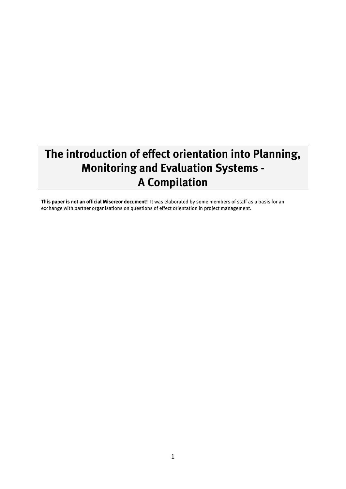# **The introduction of effect orientation into Planning, Monitoring and Evaluation Systems - A Compilation**

**This paper is not an official Misereor document!** It was elaborated by some members of staff as a basis for an exchange with partner organisations on questions of effect orientation in project management.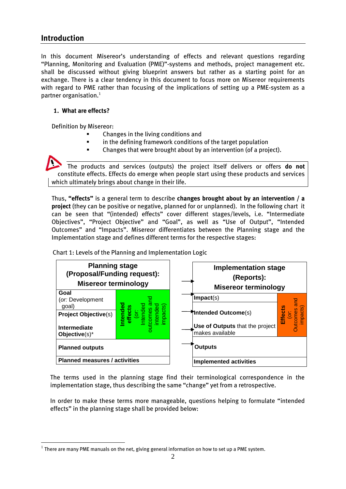### **Introduction**

1

In this document Misereor's understanding of effects and relevant questions regarding "Planning, Monitoring and Evaluation (PME)"-systems and methods, project management etc. shall be discussed without giving blueprint answers but rather as a starting point for an exchange. There is a clear tendency in this document to focus more on Misereor requirements with regard to PME rather than focusing of the implications of setting up a PME-system as a partner organisation.<sup>1</sup>

#### **1. What are effects?**

Definition by Misereor:

- Changes in the living conditions and
- in the defining framework conditions of the target population
- Changes that were brought about by an intervention (of a project).

The products and services (outputs) the project itself delivers or offers **do not** constitute effects. Effects do emerge when people start using these products and services which ultimately brings about change in their life.

Thus, **"effects"** is a general term to describe **changes brought about by an intervention / a project** (they can be positive or negative, planned for or unplanned). In the following chart it can be seen that "(intended) effects" cover different stages/levels, i.e. "Intermediate Objectives", "Project Objective" and "Goal", as well as "Use of Output", "Intended Outcomes" and "Impacts". Misereor differentiates between the Planning stage and the Implementation stage and defines different terms for the respective stages:

Chart 1: Levels of the Planning and Implementation Logic



The terms used in the planning stage find their terminological correspondence in the implementation stage, thus describing the same "change" yet from a retrospective.

In order to make these terms more manageable, questions helping to formulate "intended effects" in the planning stage shall be provided below:

 $^{\rm 1}$  There are many PME manuals on the net, giving general information on how to set up a PME system.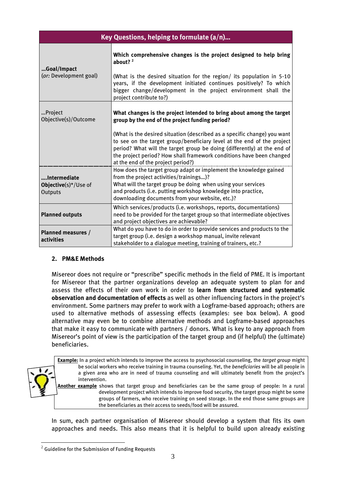| Key Questions, helping to formulate $(a/n)$     |                                                                                                                                                                                                                                                                                                                                             |  |  |  |  |  |
|-------------------------------------------------|---------------------------------------------------------------------------------------------------------------------------------------------------------------------------------------------------------------------------------------------------------------------------------------------------------------------------------------------|--|--|--|--|--|
| Goal/Impact<br>(or: Development goal)           | Which comprehensive changes is the project designed to help bring<br>about? <sup>2</sup><br>(What is the desired situation for the region/ its population in 5-10<br>years, if the development initiated continues positively? To which                                                                                                     |  |  |  |  |  |
|                                                 | bigger change/development in the project environment shall the<br>project contribute to?)                                                                                                                                                                                                                                                   |  |  |  |  |  |
| Project<br>Objective(s)/Outcome                 | What changes is the project intended to bring about among the target<br>group by the end of the project funding period?                                                                                                                                                                                                                     |  |  |  |  |  |
|                                                 | (What is the desired situation (described as a specific change) you want<br>to see on the target group/beneficiary level at the end of the project<br>period? What will the target group be doing (differently) at the end of<br>the project period? How shall framework conditions have been changed<br>at the end of the project period?) |  |  |  |  |  |
|                                                 | How does the target group adapt or implement the knowledge gained                                                                                                                                                                                                                                                                           |  |  |  |  |  |
| Intermediate<br>Objective(s)*/Use of<br>Outputs | from the project activities/trainings)?<br>What will the target group be doing when using your services<br>and products (i.e. putting workshop knowledge into practice,<br>downloading documents from your website, etc.)?                                                                                                                  |  |  |  |  |  |
| <b>Planned outputs</b>                          | Which services/products (i.e. workshops, reports, documentations)<br>need to be provided for the target group so that intermediate objectives<br>and project objectives are achievable?                                                                                                                                                     |  |  |  |  |  |
| <b>Planned measures /</b><br>activities         | What do you have to do in order to provide services and products to the<br>target group (i.e. design a workshop manual, invite relevant<br>stakeholder to a dialogue meeting, training of trainers, etc.?                                                                                                                                   |  |  |  |  |  |

#### **2. PM&E Methods**

Misereor does not require or "prescribe" specific methods in the field of PME. It is important for Misereor that the partner organizations develop an adequate system to plan for and assess the effects of their own work in order to **learn from structured and systematic observation and documentation of effects** as well as other influencing factors in the project's environment. Some partners may prefer to work with a Logframe-based approach; others are used to alternative methods of assessing effects (examples: see box below). A good alternative may even be to combine alternative methods and Logframe-based approaches that make it easy to communicate with partners / donors. What is key to any approach from Misereor's point of view is the participation of the target group and (if helpful) the (ultimate) beneficiaries.



**Example:** In a project which intends to improve the access to psychosocial counseling, the *target group* might be social workers who receive training in trauma counseling. Yet, the *beneficiaries* will be all people in a given area who are in need of trauma counseling and will ultimately benefit from the project's

**Another example** shows that target group and beneficiaries can be the same group of people: In a rural development project which intends to improve food security, the target group might be some groups of farmers, who receive training on seed storage. In the end those same groups are the beneficiaries as their access to seeds/food will be assured.

In sum, each partner organisation of Misereor should develop a system that fits its own approaches and needs. This also means that it is helpful to build upon already existing

1

 $^{\rm 2}$  Guideline for the Submission of Funding Requests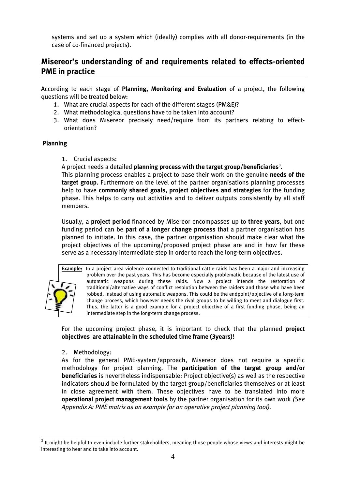systems and set up a system which (ideally) complies with all donor-requirements (in the case of co-financed projects).

## **Misereor's understanding of and requirements related to effects-oriented PME in practice**

According to each stage of **Planning, Monitoring and Evaluation** of a project, the following questions will be treated below:

- 1. What are crucial aspects for each of the different stages (PM&E)?
- 2. What methodological questions have to be taken into account?
- 3. What does Misereor precisely need/require from its partners relating to effectorientation?

#### **Planning**

1. Crucial aspects:

A project needs a detailed **planning process with the target group/beneficiaries<sup>3</sup>** .

This planning process enables a project to base their work on the genuine **needs of the target group**. Furthermore on the level of the partner organisations planning processes help to have **commonly shared goals, project objectives and strategies** for the funding phase. This helps to carry out activities and to deliver outputs consistently by all staff members.

Usually, a **project period** financed by Misereor encompasses up to **three years**, but one funding period can be **part of a longer change process** that a partner organisation has planned to initiate. In this case, the partner organisation should make clear what the project objectives of the upcoming/proposed project phase are and in how far these serve as a necessary intermediate step in order to reach the long-term objectives.



1

**Example:** In a project area violence connected to traditional cattle raids has been a major and increasing problem over the past years. This has become especially problematic because of the latest use of automatic weapons during these raids. Now a project intends the restoration of traditional/alternative ways of conflict resolution between the raiders and those who have been robbed, instead of using automatic weapons. This could be the endpoint/objective of a long-term change process, which however needs the rival groups to be willing to meet and dialogue first. Thus, the latter is a good example for a project objective of a first funding phase, being an intermediate step in the long-term change process.

For the upcoming project phase, it is important to check that the planned **project objectives are attainable in the scheduled time frame (3years)**!

#### 2. Methodology:

As for the general PME-system/approach, Misereor does not require a specific methodology for project planning. The **participation of the target group and/or beneficiaries** is nevertheless indispensable: Project objective(s) as well as the respective indicators should be formulated by the target group/beneficiaries themselves or at least in close agreement with them. These objectives have to be translated into more **operational project management tools** by the partner organisation for its own work *(See Appendix A: PME matrix as an example for an operative project planning tool).*

 $^3$  It might be helpful to even include further stakeholders, meaning those people whose views and interests might be interesting to hear and to take into account.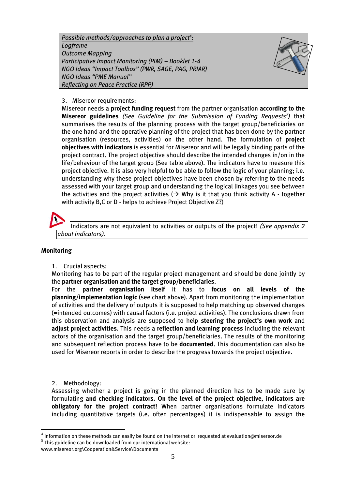*Possible methods/approaches to plan a project<sup>4</sup> : Logframe Outcome Mapping Participative Impact Monitoring (PIM) – Booklet 1-4 NGO Ideas "Impact Toolbox" (PWR, SAGE, PAG, PRIAR) NGO Ideas "PME Manual" Reflecting on Peace Practice (RPP)*



#### 3. Misereor requirements:

Misereor needs a **project funding request** from the partner organisation **according to the Misereor guidelines** *(See Guideline for the Submission of Funding Requests<sup>5</sup> )* that summarises the results of the planning process with the target group/beneficiaries on the one hand and the operative planning of the project that has been done by the partner organisation (resources, activities) on the other hand. The formulation of **project objectives with indicators** is essential for Misereor and will be legally binding parts of the project contract. The project objective should describe the intended changes in/on in the life/behaviour of the target group (See table above). The indicators have to measure this project objective. It is also very helpful to be able to follow the logic of your planning; i.e. understanding why these project objectives have been chosen by referring to the needs assessed with your target group and understanding the logical linkages you see between the activities and the project activities  $(\rightarrow$  Why is it that you think activity A - together with activity B,C or D - helps to achieve Project Objective Z?)

Indicators are not equivalent to activities or outputs of the project! *(See appendix 2 about indicators)*.

#### **Monitoring**

1. Crucial aspects:

Monitoring has to be part of the regular project management and should be done jointly by the **partner organisation and the target group/beneficiaries**.

For the **partner organisation itself** it has to **focus on all levels of the planning/implementation logic** (see chart above). Apart from monitoring the implementation of activities and the delivery of outputs it is supposed to help matching up observed changes (=intended outcomes) with causal factors (i.e. project activities). The conclusions drawn from this observation and analysis are supposed to help **steering the project's own work** and **adjust project activities**. This needs a **reflection and learning process** including the relevant actors of the organisation and the target group/beneficiaries. The results of the monitoring and subsequent reflection process have to be **documented**. This documentation can also be used for Misereor reports in order to describe the progress towards the project objective.

2. Methodology:

1

Assessing whether a project is going in the planned direction has to be made sure by formulating **and checking indicators. On the level of the project objective, indicators are obligatory for the project contract!** When partner organisations formulate indicators including quantitative targets (i.e. often percentages) it is indispensable to assign the

 $^4$  Information on these methods can easily be found on the internet or  $\,$  requested at evaluation@misereor.de

 $^5$  This guideline can be downloaded from our international website:

www.misereor.org\Cooperation&Service\Documents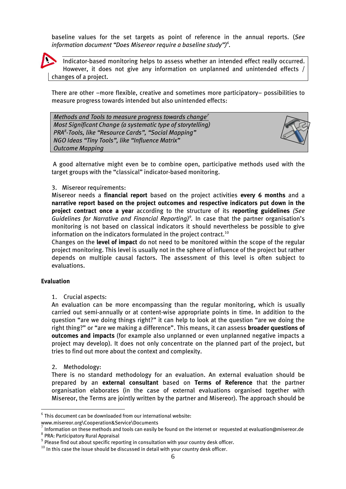baseline values for the set targets as point of reference in the annual reports. (*See information document "Does Misereor require a baseline study") 6 .*



Indicator-based monitoring helps to assess whether an intended effect really occurred. However, it does not give any information on unplanned and unintended effects / changes of a project.

There are other –more flexible, creative and sometimes more participatory– possibilities to measure progress towards intended but also unintended effects:

| Methods and Tools to measure progress towards change <sup>7</sup> |  |  |  |  |  |
|-------------------------------------------------------------------|--|--|--|--|--|
| Most Significant Change (a systematic type of storytelling)       |  |  |  |  |  |
| PRA <sup>8</sup> -Tools, like "Resource Cards", "Social Mapping"  |  |  |  |  |  |
| NGO Ideas "Tiny Tools", like "Influence Matrix"                   |  |  |  |  |  |
| <b>Outcome Mapping</b>                                            |  |  |  |  |  |



A good alternative might even be to combine open, participative methods used with the target groups with the "classical" indicator-based monitoring.

#### 3. Misereor requirements:

Misereor needs a **financial report** based on the project activities **every 6 months** and a **narrative report based on the project outcomes and respective indicators put down in the project contract once a year** according to the structure of its **reporting guidelines** *(See*  Guidelines for Narrative and Financial Reporting)<sup>9</sup>. In case that the partner organisation's monitoring is not based on classical indicators it should nevertheless be possible to give information on the indicators formulated in the project contract.<sup>10</sup>

Changes on the **level of impact** do not need to be monitored within the scope of the regular project monitoring. This level is usually not in the sphere of influence of the project but rather depends on multiple causal factors. The assessment of this level is often subject to evaluations.

#### **Evaluation**

1

1. Crucial aspects:

An evaluation can be more encompassing than the regular monitoring, which is usually carried out semi-annually or at content-wise appropriate points in time. In addition to the question "are we doing things right?" it can help to look at the question "are we doing the right thing?" or "are we making a difference". This means, it can assess **broader questions of outcomes and impacts** (for example also unplanned or even unplanned negative impacts a project may develop). It does not only concentrate on the planned part of the project, but tries to find out more about the context and complexity.

2. Methodology:

There is no standard methodology for an evaluation. An external evaluation should be prepared by an **external consultant** based on **Terms of Reference** that the partner organisation elaborates (in the case of external evaluations organised together with Misereor, the Terms are jointly written by the partner and Misereor). The approach should be

www.misereor.org\Cooperation&Service\Documents

 $^6$  This document can be downloaded from our international website:

 $^7$  Information on these methods and tools can easily be found on the internet or requested at evaluation@misereor.de  $^8$  PRA: Participatory Rural Appraisal

 $^9$  Please find out about specific reporting in consultation with your country desk officer.

 $^{10}$  In this case the issue should be discussed in detail with your country desk officer.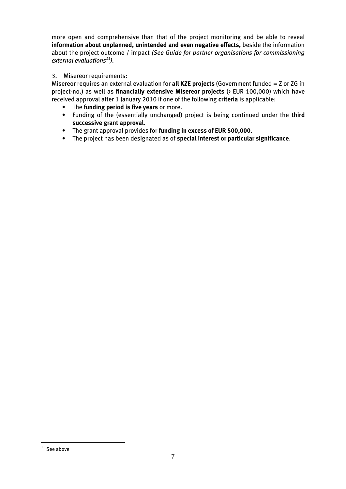more open and comprehensive than that of the project monitoring and be able to reveal **information about unplanned, unintended and even negative effects,** beside the information about the project outcome / impact *(See Guide for partner organisations for commissioning external evaluations<sup>11</sup>).*

#### 3. Misereor requirements:

Misereor requires an external evaluation for **all KZE projects** (Government funded = Z or ZG in project-no.) as well as **financially extensive Misereor projects** (> EUR 100,000) which have received approval after 1 January 2010 if one of the following **criteria** is applicable:

- The **funding period is five years** or more.
- Funding of the (essentially unchanged) project is being continued under the **third successive grant approval**.
- The grant approval provides for **funding in excess of EUR 500,000**.
- The project has been designated as of **special interest or particular significance**.

<sup>1</sup>  $11$  See above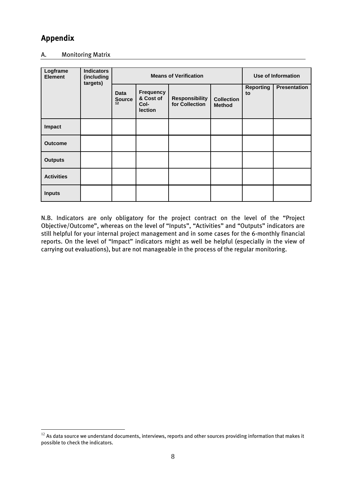# **Appendix**

1

#### A. Monitoring Matrix

| Logframe<br><b>Element</b> | <b>Indicators</b><br>(including<br>targets) | <b>Means of Verification</b>                            |                                         |                                    |                        | <b>Use of Information</b> |  |
|----------------------------|---------------------------------------------|---------------------------------------------------------|-----------------------------------------|------------------------------------|------------------------|---------------------------|--|
|                            | <b>Data</b><br>Source                       | <b>Frequency</b><br>& Cost of<br>Col-<br><b>lection</b> | <b>Responsibility</b><br>for Collection | <b>Collection</b><br><b>Method</b> | <b>Reporting</b><br>to | Presentation              |  |
| Impact                     |                                             |                                                         |                                         |                                    |                        |                           |  |
| <b>Outcome</b>             |                                             |                                                         |                                         |                                    |                        |                           |  |
| <b>Outputs</b>             |                                             |                                                         |                                         |                                    |                        |                           |  |
| <b>Activities</b>          |                                             |                                                         |                                         |                                    |                        |                           |  |
| <b>Inputs</b>              |                                             |                                                         |                                         |                                    |                        |                           |  |

N.B. Indicators are only obligatory for the project contract on the level of the "Project Objective/Outcome", whereas on the level of "Inputs", "Activities" and "Outputs" indicators are still helpful for your internal project management and in some cases for the 6-monthly financial reports. On the level of "Impact" indicators might as well be helpful (especially in the view of carrying out evaluations), but are not manageable in the process of the regular monitoring.

 $^{12}$  As data source we understand documents, interviews, reports and other sources providing information that makes it possible to check the indicators.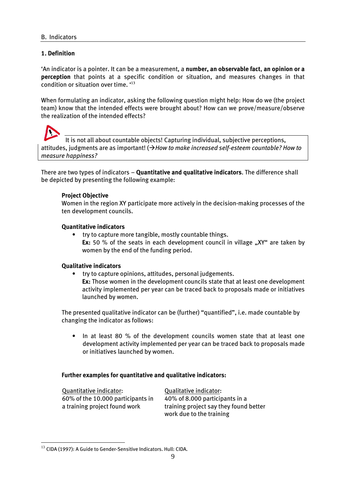#### **1. Definition**

'An indicator is a pointer. It can be a measurement, a **number, an observable fact**, **an opinion or a perception** that points at a specific condition or situation, and measures changes in that condition or situation over time. ' 13

When formulating an indicator, asking the following question might help: How do we (the project team) know that the intended effects were brought about? How can we prove/measure/observe the realization of the intended effects?

It is not all about countable objects! Capturing individual, subjective perceptions, attitudes, judgments are as important! (*How to make increased self-esteem countable? How to measure happiness?*

There are two types of indicators – **Quantitative and qualitative indicators**. The difference shall be depicted by presenting the following example:

#### **Project Objective**

Women in the region XY participate more actively in the decision-making processes of the ten development councils.

#### **Quantitative indicators**

• try to capture more tangible, mostly countable things. **Ex:** 50 % of the seats in each development council in village "XY" are taken by women by the end of the funding period.

#### **Qualitative indicators**

• try to capture opinions, attitudes, personal judgements. **Ex:** Those women in the development councils state that at least one development activity implemented per year can be traced back to proposals made or initiatives launched by women.

The presented qualitative indicator can be (further) "quantified", i.e. made countable by changing the indicator as follows:

• In at least 80 % of the development councils women state that at least one development activity implemented per year can be traced back to proposals made or initiatives launched by women.

#### **Further examples for quantitative and qualitative indicators:**

Quantitative indicator: Qualitative indicator: 60% of the 10.000 participants in 40% of 8.000 participants in a

a training project found work training project say they found better work due to the training

<sup>1</sup>  $^{13}$  CIDA (1997): A Guide to Gender-Sensitive Indicators. Hull: CIDA.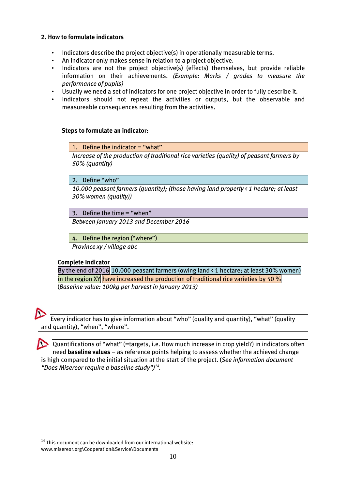#### **2. How to formulate indicators**

- Indicators describe the project objective(s) in operationally measurable terms.
- An indicator only makes sense in relation to a project objective.
- Indicators are not the project objective(s) (effects) themselves, but provide reliable information on their achievements. *(Example: Marks / grades to measure the performance of pupils)*
- Usually we need a set of indicators for one project objective in order to fully describe it.
- Indicators should not repeat the activities or outputs, but the observable and measureable consequences resulting from the activities.

#### **Steps to formulate an indicator:**

1. Define the indicator = "what"

*Increase of the production of traditional rice varieties (quality) of peasant farmers by 50% (quantity)*

2. Define "who"

*10.000 peasant farmers (quantity); (those having land property < 1 hectare; at least 30% women (quality))*

3. Define the time = "when"

*Between January 2013 and December 2016*

4. Define the region ("where")

*Province xy / village abc*

#### **Complete Indicator**

By the end of 2016 10.000 peasant farmers (owing land  $\langle$  1 hectare; at least 30% women) in the region XY have increased the production of traditional rice varieties by 50  $\%$ (*Baseline value: 100kg per harvest in January 2013)*



1

Every indicator has to give information about "who" (quality and quantity), "what" (quality and quantity), "when", "where".

Quantifications of "what" (=targets, i.e. How much increase in crop yield?) in indicators often need **baseline values** – as reference points helping to assess whether the achieved change is high compared to the initial situation at the start of the project. (*See information document "Does Misereor require a baseline study") 14 .*

 $14$  This document can be downloaded from our international website: www.misereor.org\Cooperation&Service\Documents